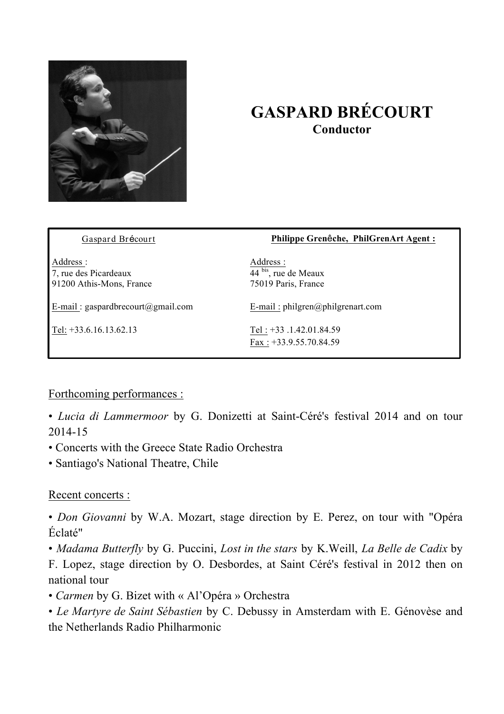

## **GASPARD BRÉCOURT Conductor**

| Gaspard Brécourt                                               | Philippe Grenêche, PhilGrenArt Agent:                                 |
|----------------------------------------------------------------|-----------------------------------------------------------------------|
| Address :<br>7, rue des Picardeaux<br>91200 Athis-Mons, France | Address :<br>$\overline{44}$ bis, rue de Meaux<br>75019 Paris, France |
| E-mail: gaspardbrecourt@gmail.com                              | E-mail: $philgren@philgrenart.com$                                    |
| Tel: +33.6.16.13.62.13                                         | Tel: $+33$ .1.42.01.84.59<br>Fax: $+33.9.55.70.84.59$                 |

Forthcoming performances :

• *Lucia di Lammermoor* by G. Donizetti at Saint-Céré's festival 2014 and on tour 2014-15

- Concerts with the Greece State Radio Orchestra
- Santiago's National Theatre, Chile

## Recent concerts :

• *Don Giovanni* by W.A. Mozart, stage direction by E. Perez, on tour with "Opéra Éclaté"

• *Madama Butterfly* by G. Puccini, *Lost in the stars* by K.Weill, *La Belle de Cadix* by F. Lopez, stage direction by O. Desbordes, at Saint Céré's festival in 2012 then on national tour

• *Carmen* by G. Bizet with « Al'Opéra » Orchestra

• *Le Martyre de Saint Sébastien* by C. Debussy in Amsterdam with E. Génovèse and the Netherlands Radio Philharmonic